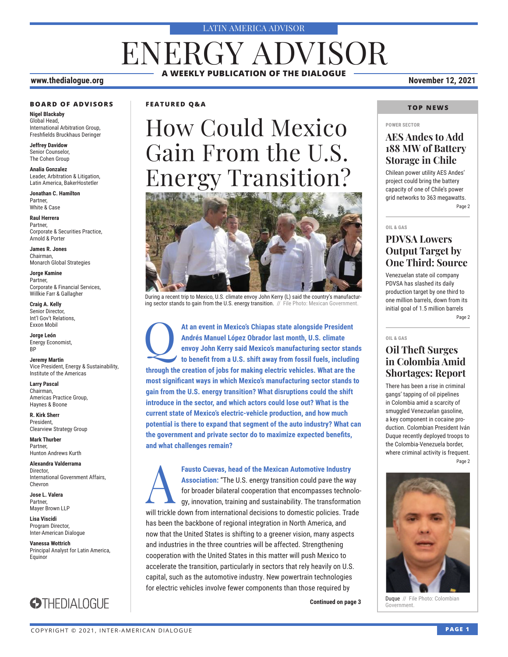#### LATIN AMERICA ADVISOR

# ENERGY ADVISOR **A WEEKLY PUBLICATION OF THE DIALOGUE**

#### **www.thedialogue.org November 12, 2021**

#### **BOARD OF ADVISORS**

**Nigel Blackaby** Global Head, International Arbitration Group, Freshfields Bruckhaus Deringer

**Jeffrey Davidow** Senior Counselor, The Cohen Group

**Analia Gonzalez** Leader, Arbitration & Litigation, Latin America, BakerHostetler

**Jonathan C. Hamilton** Partner, White & Case

**Raul Herrera** Partner, Corporate & Securities Practice, Arnold & Porter

**James R. Jones** Chairman, Monarch Global Strategies

**Jorge Kamine** Partner, Corporate & Financial Services, Willkie Farr & Gallagher

**Craig A. Kelly** Senior Director, Int'l Gov't Relations, Exxon Mobil

**Jorge León** Energy Economist, BP

**Jeremy Martin** Vice President, Energy & Sustainability, Institute of the Americas

**Larry Pascal** Chairman, Americas Practice Group, Haynes & Boone

**R. Kirk Sherr** President, Clearview Strategy Group

**Mark Thurber** Partner, Hunton Andrews Kurth

**Alexandra Valderrama** Director, International Government Affairs, Chevron

**Jose L. Valera** Partner, Mayer Brown LLP

**Lisa Viscidi** Program Director, Inter-American Dialogue

**Vanessa Wottrich** Principal Analyst for Latin America, Equinor



#### **FEATURED Q&A**

# How Could Mexico Gain From the U.S. Energy Transition?



During a recent trip to Mexico, U.S. climate envoy John Kerry (L) said the country's manufacturing sector stands to gain from the U.S. energy transition. // File Photo: Mexican Government.

At an event in Mexico's Chiapas state alongside President<br>Andrés Manuel López Obrador last month, U.S. climate<br>envoy John Kerry said Mexico's manufacturing sector stan<br>to benefit from a U.S. shift away from fossil fuels. i **Andrés Manuel López Obrador last month, U.S. climate envoy John Kerry said Mexico's manufacturing sector stands to benefit from a U.S. shift away from fossil fuels, including through the creation of jobs for making electric vehicles. What are the most significant ways in which Mexico's manufacturing sector stands to gain from the U.S. energy transition? What disruptions could the shift introduce in the sector, and which actors could lose out? What is the current state of Mexico's electric-vehicle production, and how much potential is there to expand that segment of the auto industry? What can the government and private sector do to maximize expected benefits, and what challenges remain?**

Fausto Cuevas, head of the Mexican Automotive Industry<br>Association: "The U.S. energy transition could pave the way<br>for broader bilateral cooperation that encompasses techno<br>gy, innovation, training and sustainability. The **Association:** "The U.S. energy transition could pave the way for broader bilateral cooperation that encompasses technology, innovation, training and sustainability. The transformation will trickle down from international decisions to domestic policies. Trade has been the backbone of regional integration in North America, and now that the United States is shifting to a greener vision, many aspects and industries in the three countries will be affected. Strengthening cooperation with the United States in this matter will push Mexico to accelerate the transition, particularly in sectors that rely heavily on U.S. capital, such as the automotive industry. New powertrain technologies for electric vehicles involve fewer components than those required by

**Continued on page 3 a c Continued on page 3** 

#### **TOP NEWS**

#### **POWER SECTOR**

#### **AES Andes to Add 188 MW of Battery Storage in Chile**

Chilean power utility AES Andes' project could bring the battery capacity of one of Chile's power grid networks to 363 megawatts. Page 2

#### **OIL & GAS**

### **PDVSA Lowers Output Target by One Third: Source**

Venezuelan state oil company PDVSA has slashed its daily production target by one third to one million barrels, down from its initial goal of 1.5 million barrels Page 2

**OIL & GAS**

### **Oil Theft Surges in Colombia Amid Shortages: Report**

There has been a rise in criminal gangs' tapping of oil pipelines in Colombia amid a scarcity of smuggled Venezuelan gasoline, a key component in cocaine production. Colombian President Iván Duque recently deployed troops to the Colombia-Venezuela border, where criminal activity is frequent. Page 2



Duque // File Photo: Colombian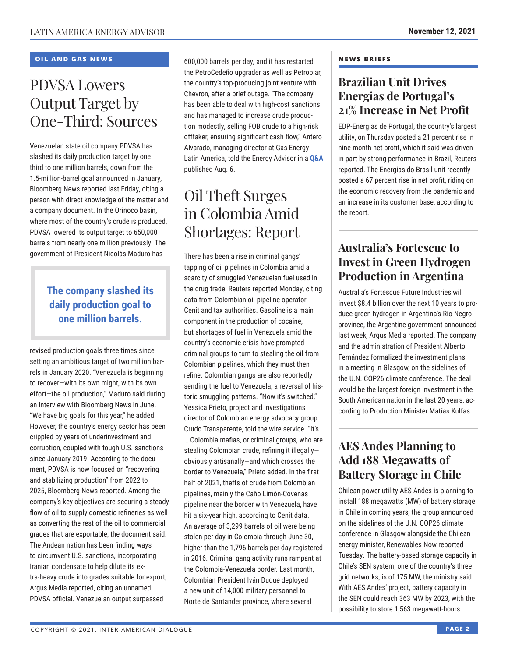#### **OIL AND GAS NEWS**

# PDVSA Lowers Output Target by One-Third: Sources

Venezuelan state oil company PDVSA has slashed its daily production target by one third to one million barrels, down from the 1.5-million-barrel goal announced in January, Bloomberg News reported last Friday, citing a person with direct knowledge of the matter and a company document. In the Orinoco basin, where most of the country's crude is produced, PDVSA lowered its output target to 650,000 barrels from nearly one million previously. The government of President Nicolás Maduro has

### **The company slashed its daily production goal to one million barrels.**

revised production goals three times since setting an ambitious target of two million barrels in January 2020. "Venezuela is beginning to recover—with its own might, with its own effort—the oil production," Maduro said during an interview with Bloomberg News in June. "We have big goals for this year," he added. However, the country's energy sector has been crippled by years of underinvestment and corruption, coupled with tough U.S. sanctions since January 2019. According to the document, PDVSA is now focused on "recovering and stabilizing production" from 2022 to 2025, Bloomberg News reported. Among the company's key objectives are securing a steady flow of oil to supply domestic refineries as well as converting the rest of the oil to commercial grades that are exportable, the document said. The Andean nation has been finding ways to circumvent U.S. sanctions, incorporating Iranian condensate to help dilute its extra-heavy crude into grades suitable for export, Argus Media reported, citing an unnamed PDVSA official. Venezuelan output surpassed

600,000 barrels per day, and it has restarted the PetroCedeño upgrader as well as Petropiar, the country's top-producing joint venture with Chevron, after a brief outage. "The company has been able to deal with high-cost sanctions and has managed to increase crude production modestly, selling FOB crude to a high-risk offtaker, ensuring significant cash flow," Antero Alvarado, managing director at Gas Energy Latin America, told the Energy Advisor in a **[Q&A](http://www.thedialogue.org/wp-content/uploads/2021/08/LEA210806.pdf)** published Aug. 6.

# Oil Theft Surges in Colombia Amid Shortages: Report

There has been a rise in criminal gangs' tapping of oil pipelines in Colombia amid a scarcity of smuggled Venezuelan fuel used in the drug trade, Reuters reported Monday, citing data from Colombian oil-pipeline operator Cenit and tax authorities. Gasoline is a main component in the production of cocaine, but shortages of fuel in Venezuela amid the country's economic crisis have prompted criminal groups to turn to stealing the oil from Colombian pipelines, which they must then refine. Colombian gangs are also reportedly sending the fuel to Venezuela, a reversal of historic smuggling patterns. "Now it's switched," Yessica Prieto, project and investigations director of Colombian energy advocacy group Crudo Transparente, told the wire service. "It's … Colombia mafias, or criminal groups, who are stealing Colombian crude, refining it illegally obviously artisanally—and which crosses the border to Venezuela," Prieto added. In the first half of 2021, thefts of crude from Colombian pipelines, mainly the Caño Limón-Covenas pipeline near the border with Venezuela, have hit a six-year high, according to Cenit data. An average of 3,299 barrels of oil were being stolen per day in Colombia through June 30, higher than the 1,796 barrels per day registered in 2016. Criminal gang activity runs rampant at the Colombia-Venezuela border. Last month, Colombian President Iván Duque deployed a new unit of 14,000 military personnel to Norte de Santander province, where several

#### **NEWS BRIEFS**

### **Brazilian Unit Drives Energias de Portugal's 21% Increase in Net Profit**

EDP-Energias de Portugal, the country's largest utility, on Thursday posted a 21 percent rise in nine-month net profit, which it said was driven in part by strong performance in Brazil, Reuters reported. The Energias do Brasil unit recently posted a 67 percent rise in net profit, riding on the economic recovery from the pandemic and an increase in its customer base, according to the report.

### **Australia's Fortescue to Invest in Green Hydrogen Production in Argentina**

Australia's Fortescue Future Industries will invest \$8.4 billion over the next 10 years to produce green hydrogen in Argentina's Río Negro province, the Argentine government announced last week, Argus Media reported. The company and the administration of President Alberto Fernández formalized the investment plans in a meeting in Glasgow, on the sidelines of the U.N. COP26 climate conference. The deal would be the largest foreign investment in the South American nation in the last 20 years, according to Production Minister Matías Kulfas.

### **AES Andes Planning to Add 188 Megawatts of Battery Storage in Chile**

Chilean power utility AES Andes is planning to install 188 megawatts (MW) of battery storage in Chile in coming years, the group announced on the sidelines of the U.N. COP26 climate conference in Glasgow alongside the Chilean energy minister, Renewables Now reported Tuesday. The battery-based storage capacity in Chile's SEN system, one of the country's three grid networks, is of 175 MW, the ministry said. With AES Andes' project, battery capacity in the SEN could reach 363 MW by 2023, with the possibility to store 1,563 megawatt-hours.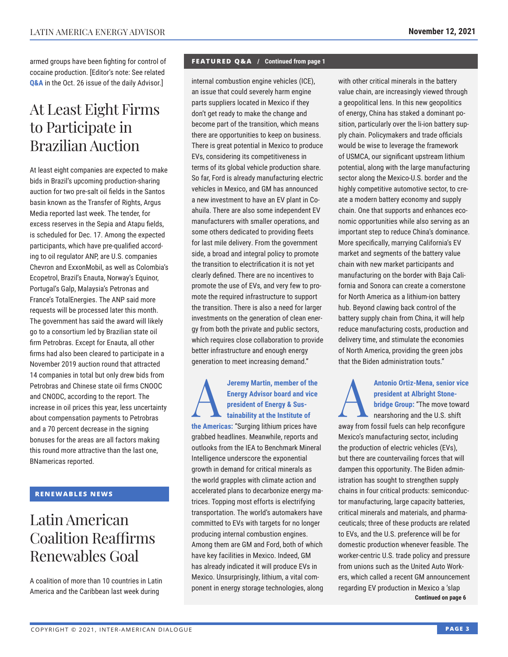armed groups have been fighting for control of cocaine production. [Editor's note: See related **[Q&A](http://www.thedialogue.org/wp-content/uploads/2021/10/LAA211026.pdf)** in the Oct. 26 issue of the daily Advisor.]

# At Least Eight Firms to Participate in Brazilian Auction

At least eight companies are expected to make bids in Brazil's upcoming production-sharing auction for two pre-salt oil fields in the Santos basin known as the Transfer of Rights, Argus Media reported last week. The tender, for excess reserves in the Sepia and Atapu fields, is scheduled for Dec. 17. Among the expected participants, which have pre-qualified according to oil regulator ANP, are U.S. companies Chevron and ExxonMobil, as well as Colombia's Ecopetrol, Brazil's Enauta, Norway's Equinor, Portugal's Galp, Malaysia's Petronas and France's TotalEnergies. The ANP said more requests will be processed later this month. The government has said the award will likely go to a consortium led by Brazilian state oil firm Petrobras. Except for Enauta, all other firms had also been cleared to participate in a November 2019 auction round that attracted 14 companies in total but only drew bids from Petrobras and Chinese state oil firms CNOOC and CNODC, according to the report. The increase in oil prices this year, less uncertainty about compensation payments to Petrobras and a 70 percent decrease in the signing bonuses for the areas are all factors making this round more attractive than the last one, BNamericas reported.

#### **RENEWABLES NEWS**

# Latin American Coalition Reaffirms Renewables Goal

A coalition of more than 10 countries in Latin America and the Caribbean last week during

#### **FEATURED Q&A / Continued from page 1**

internal combustion engine vehicles (ICE), an issue that could severely harm engine parts suppliers located in Mexico if they don't get ready to make the change and become part of the transition, which means there are opportunities to keep on business. There is great potential in Mexico to produce EVs, considering its competitiveness in terms of its global vehicle production share. So far, Ford is already manufacturing electric vehicles in Mexico, and GM has announced a new investment to have an EV plant in Coahuila. There are also some independent EV manufacturers with smaller operations, and some others dedicated to providing fleets for last mile delivery. From the government side, a broad and integral policy to promote the transition to electrification it is not yet clearly defined. There are no incentives to promote the use of EVs, and very few to promote the required infrastructure to support the transition. There is also a need for larger investments on the generation of clean energy from both the private and public sectors, which requires close collaboration to provide better infrastructure and enough energy generation to meet increasing demand."

#### **A**<br> **A**<br> **Energy Advisor board and vice**<br> **president of Energy & Sus-<br>
<b>tainability at the Institute of**<br> **the American "Quaring little president** begins **Energy Advisor board and vice president of Energy & Susthe Americas:** "Surging lithium prices have grabbed headlines. Meanwhile, reports and outlooks from the IEA to Benchmark Mineral Intelligence underscore the exponential growth in demand for critical minerals as the world grapples with climate action and accelerated plans to decarbonize energy matrices. Topping most efforts is electrifying transportation. The world's automakers have committed to EVs with targets for no longer producing internal combustion engines. Among them are GM and Ford, both of which have key facilities in Mexico. Indeed, GM

has already indicated it will produce EVs in Mexico. Unsurprisingly, lithium, a vital component in energy storage technologies, along with other critical minerals in the battery value chain, are increasingly viewed through a geopolitical lens. In this new geopolitics of energy, China has staked a dominant position, particularly over the li-ion battery supply chain. Policymakers and trade officials would be wise to leverage the framework of USMCA, our significant upstream lithium potential, along with the large manufacturing sector along the Mexico-U.S. border and the highly competitive automotive sector, to create a modern battery economy and supply chain. One that supports and enhances economic opportunities while also serving as an important step to reduce China's dominance. More specifically, marrying California's EV market and segments of the battery value chain with new market participants and manufacturing on the border with Baja California and Sonora can create a cornerstone for North America as a lithium-ion battery hub. Beyond clawing back control of the battery supply chain from China, it will help reduce manufacturing costs, production and delivery time, and stimulate the economies of North America, providing the green jobs that the Biden administration touts."

Antonio Ortiz-Mena, senior vice<br>
president at Albright Stone-<br>
bridge Group: "The move toward<br>
nearshoring and the U.S. shift **president at Albright Stonebridge Group:** "The move toward away from fossil fuels can help reconfigure Mexico's manufacturing sector, including the production of electric vehicles (EVs), but there are countervailing forces that will dampen this opportunity. The Biden administration has sought to strengthen supply chains in four critical products: semiconductor manufacturing, large capacity batteries, critical minerals and materials, and pharmaceuticals; three of these products are related to EVs, and the U.S. preference will be for domestic production whenever feasible. The worker-centric U.S. trade policy and pressure from unions such as the United Auto Workers, which called a recent GM announcement regarding EV production in Mexico a 'slap **Continued on page 6**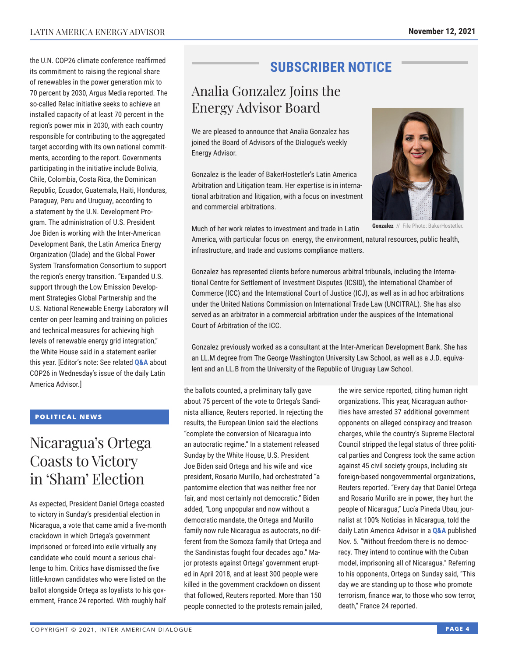the U.N. COP26 climate conference reaffirmed its commitment to raising the regional share of renewables in the power generation mix to 70 percent by 2030, Argus Media reported. The so-called Relac initiative seeks to achieve an installed capacity of at least 70 percent in the region's power mix in 2030, with each country responsible for contributing to the aggregated target according with its own national commitments, according to the report. Governments participating in the initiative include Bolivia, Chile, Colombia, Costa Rica, the Dominican Republic, Ecuador, Guatemala, Haiti, Honduras, Paraguay, Peru and Uruguay, according to a statement by the U.N. Development Program. The administration of U.S. President Joe Biden is working with the Inter-American Development Bank, the Latin America Energy Organization (Olade) and the Global Power System Transformation Consortium to support the region's energy transition. "Expanded U.S. support through the Low Emission Development Strategies Global Partnership and the U.S. National Renewable Energy Laboratory will center on peer learning and training on policies and technical measures for achieving high levels of renewable energy grid integration," the White House said in a statement earlier this year. [Editor's note: See related **Q&A** about COP26 in Wednesday's issue of t[he daily La](http://www.thedialogue.org/wp-content/uploads/2021/11/LAA211110.pdf)tin America Advisor.]

#### **POLITICAL NEWS**

# Nicaragua's Ortega Coasts to Victory in 'Sham' Election

As expected, President Daniel Ortega coasted to victory in Sunday's presidential election in Nicaragua, a vote that came amid a five-month crackdown in which Ortega's government imprisoned or forced into exile virtually any candidate who could mount a serious challenge to him. Critics have dismissed the five little-known candidates who were listed on the ballot alongside Ortega as loyalists to his government, France 24 reported. With roughly half

## **SUBSCRIBER NOTICE**

# Analia Gonzalez Joins the Energy Advisor Board

We are pleased to announce that Analia Gonzalez has joined the Board of Advisors of the Dialogue's weekly Energy Advisor.

Gonzalez is the leader of BakerHostetler's Latin America Arbitration and Litigation team. Her expertise is in international arbitration and litigation, with a focus on investment and commercial arbitrations.



**Gonzalez** // File Photo: BakerHostetler.

Much of her work relates to investment and trade in Latin

America, with particular focus on energy, the environment, natural resources, public health, infrastructure, and trade and customs compliance matters.

Gonzalez has represented clients before numerous arbitral tribunals, including the International Centre for Settlement of Investment Disputes (ICSID), the International Chamber of Commerce (ICC) and the International Court of Justice (ICJ), as well as in ad hoc arbitrations under the United Nations Commission on International Trade Law (UNCITRAL). She has also served as an arbitrator in a commercial arbitration under the auspices of the International Court of Arbitration of the ICC.

Gonzalez previously worked as a consultant at the Inter-American Development Bank. She has an LL.M degree from The George Washington University Law School, as well as a J.D. equivalent and an LL.B from the University of the Republic of Uruguay Law School.

the ballots counted, a preliminary tally gave about 75 percent of the vote to Ortega's Sandinista alliance, Reuters reported. In rejecting the results, the European Union said the elections "complete the conversion of Nicaragua into an autocratic regime." In a statement released Sunday by the White House, U.S. President Joe Biden said Ortega and his wife and vice president, Rosario Murillo, had orchestrated "a pantomime election that was neither free nor fair, and most certainly not democratic." Biden added, "Long unpopular and now without a democratic mandate, the Ortega and Murillo family now rule Nicaragua as autocrats, no different from the Somoza family that Ortega and the Sandinistas fought four decades ago." Major protests against Ortega' government erupted in April 2018, and at least 300 people were killed in the government crackdown on dissent that followed, Reuters reported. More than 150 people connected to the protests remain jailed, the wire service reported, citing human right organizations. This year, Nicaraguan authorities have arrested 37 additional government opponents on alleged conspiracy and treason charges, while the country's Supreme Electoral Council stripped the legal status of three political parties and Congress took the same action against 45 civil society groups, including six foreign-based nongovernmental organizations, Reuters reported. "Every day that Daniel Ortega and Rosario Murillo are in power, they hurt the people of Nicaragua," Lucía Pineda Ubau, journalist at 100% Noticias in Nicaragua, told the daily Latin America Advisor in a **Q&A** published Nov. 5. "Without freedom ther[e is no dem](http://www.thedialogue.org/wp-content/uploads/2021/11/LAA211105.pdf)ocracy. They intend to continue with the Cuban model, imprisoning all of Nicaragua." Referring to his opponents, Ortega on Sunday said, "This day we are standing up to those who promote terrorism, finance war, to those who sow terror, death," France 24 reported.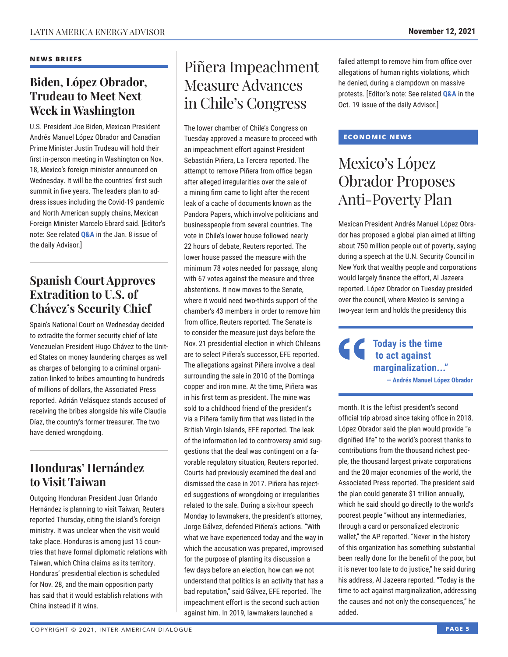#### **NEWS BRIEFS**

### **Biden, López Obrador, Trudeau to Meet Next Week in Washington**

U.S. President Joe Biden, Mexican President Andrés Manuel López Obrador and Canadian Prime Minister Justin Trudeau will hold their first in-person meeting in Washington on Nov. 18, Mexico's foreign minister announced on Wednesday. It will be the countries' first such summit in five years. The leaders plan to address issues including the Covid-19 pandemic and North American supply chains, Mexican Foreign Minister Marcelo Ebrard said. [Editor's note: See related **[Q&A](http://www.thedialogue.org/wp-content/uploads/2021/01/LAA210108.pdf)** in the Jan. 8 issue of the daily Advisor.]

### **Spanish Court Approves Extradition to U.S. of Chávez's Security Chief**

Spain's National Court on Wednesday decided to extradite the former security chief of late Venezuelan President Hugo Chávez to the United States on money laundering charges as well as charges of belonging to a criminal organization linked to bribes amounting to hundreds of millions of dollars, the Associated Press reported. Adrián Velásquez stands accused of receiving the bribes alongside his wife Claudia Díaz, the country's former treasurer. The two have denied wrongdoing.

### **Honduras' Hernández to Visit Taiwan**

Outgoing Honduran President Juan Orlando Hernández is planning to visit Taiwan, Reuters reported Thursday, citing the island's foreign ministry. It was unclear when the visit would take place. Honduras is among just 15 countries that have formal diplomatic relations with Taiwan, which China claims as its territory. Honduras' presidential election is scheduled for Nov. 28, and the main opposition party has said that it would establish relations with China instead if it wins.

# Piñera Impeachment Measure Advances in Chile's Congress

The lower chamber of Chile's Congress on Tuesday approved a measure to proceed with an impeachment effort against President Sebastián Piñera, La Tercera reported. The attempt to remove Piñera from office began after alleged irregularities over the sale of a mining firm came to light after the recent leak of a cache of documents known as the Pandora Papers, which involve politicians and businesspeople from several countries. The vote in Chile's lower house followed nearly 22 hours of debate, Reuters reported. The lower house passed the measure with the minimum 78 votes needed for passage, along with 67 votes against the measure and three abstentions. It now moves to the Senate, where it would need two-thirds support of the chamber's 43 members in order to remove him from office, Reuters reported. The Senate is to consider the measure just days before the Nov. 21 presidential election in which Chileans are to select Piñera's successor, EFE reported. The allegations against Piñera involve a deal surrounding the sale in 2010 of the Dominga copper and iron mine. At the time, Piñera was in his first term as president. The mine was sold to a childhood friend of the president's via a Piñera family firm that was listed in the British Virgin Islands, EFE reported. The leak of the information led to controversy amid suggestions that the deal was contingent on a favorable regulatory situation, Reuters reported. Courts had previously examined the deal and dismissed the case in 2017. Piñera has rejected suggestions of wrongdoing or irregularities related to the sale. During a six-hour speech Monday to lawmakers, the president's attorney, Jorge Gálvez, defended Piñera's actions. "With what we have experienced today and the way in which the accusation was prepared, improvised for the purpose of planting its discussion a few days before an election, how can we not understand that politics is an activity that has a bad reputation," said Gálvez, EFE reported. The impeachment effort is the second such action against him. In 2019, lawmakers launched a

failed attempt to remove him from office over allegations of human rights violations, which he denied, during a clampdown on massive protests. [Editor's note: See related **[Q&A](http://www.thedialogue.org/wp-content/uploads/2021/10/LAA211019.pdf)** in the Oct. 19 issue of the daily Advisor.]

#### **ECONOMIC NEWS**

# Mexico's López Obrador Proposes Anti-Poverty Plan

Mexican President Andrés Manuel López Obrador has proposed a global plan aimed at lifting about 750 million people out of poverty, saying during a speech at the U.N. Security Council in New York that wealthy people and corporations would largely finance the effort, Al Jazeera reported. López Obrador on Tuesday presided over the council, where Mexico is serving a two-year term and holds the presidency this

> **Today is the time to act against marginalization..." — Andrés Manuel López Obrador**

month. It is the leftist president's second official trip abroad since taking office in 2018. López Obrador said the plan would provide "a dignified life" to the world's poorest thanks to contributions from the thousand richest people, the thousand largest private corporations and the 20 major economies of the world, the Associated Press reported. The president said the plan could generate \$1 trillion annually, which he said should go directly to the world's poorest people "without any intermediaries, through a card or personalized electronic wallet," the AP reported. "Never in the history of this organization has something substantial been really done for the benefit of the poor, but it is never too late to do justice," he said during his address, Al Jazeera reported. "Today is the time to act against marginalization, addressing the causes and not only the consequences," he added.